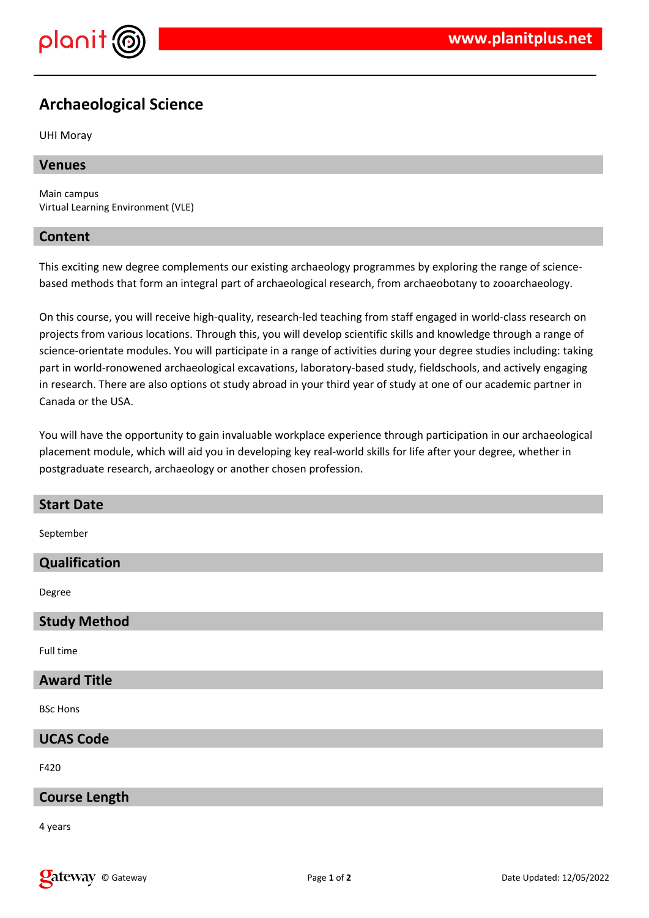

# **Archaeological Science**

UHI Moray

### **Venues**

Main campus Virtual Learning Environment (VLE)

### **Content**

This exciting new degree complements our existing archaeology programmes by exploring the range of sciencebased methods that form an integral part of archaeological research, from archaeobotany to zooarchaeology.

On this course, you will receive high-quality, research-led teaching from staff engaged in world-class research on projects from various locations. Through this, you will develop scientific skills and knowledge through a range of science-orientate modules. You will participate in a range of activities during your degree studies including: taking part in world-ronowened archaeological excavations, laboratory-based study, fieldschools, and actively engaging in research. There are also options ot study abroad in your third year of study at one of our academic partner in Canada or the USA.

You will have the opportunity to gain invaluable workplace experience through participation in our archaeological placement module, which will aid you in developing key real-world skills for life after your degree, whether in postgraduate research, archaeology or another chosen profession.

| <b>Start Date</b>    |
|----------------------|
| September            |
| Qualification        |
| Degree               |
| <b>Study Method</b>  |
| Full time            |
| <b>Award Title</b>   |
| <b>BSc Hons</b>      |
| <b>UCAS Code</b>     |
| F420                 |
| <b>Course Length</b> |
| 4 years              |